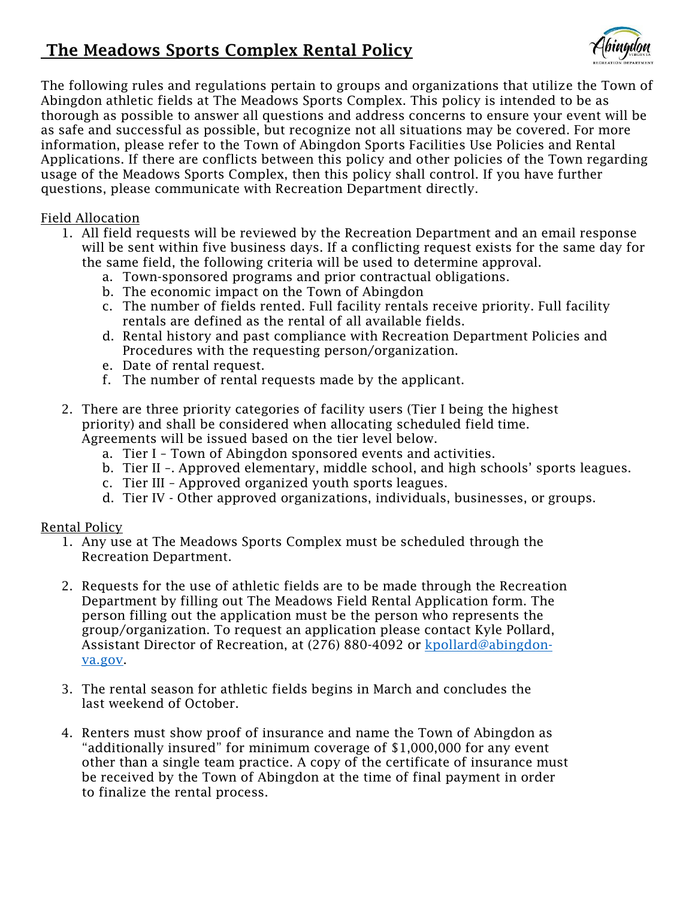# The Meadows Sports Complex Rental Policy



The following rules and regulations pertain to groups and organizations that utilize the Town of Abingdon athletic fields at The Meadows Sports Complex. This policy is intended to be as thorough as possible to answer all questions and address concerns to ensure your event will be as safe and successful as possible, but recognize not all situations may be covered. For more information, please refer to the Town of Abingdon Sports Facilities Use Policies and Rental Applications. If there are conflicts between this policy and other policies of the Town regarding usage of the Meadows Sports Complex, then this policy shall control. If you have further questions, please communicate with Recreation Department directly.

## Field Allocation

- 1. All field requests will be reviewed by the Recreation Department and an email response will be sent within five business days. If a conflicting request exists for the same day for the same field, the following criteria will be used to determine approval.
	- a. Town-sponsored programs and prior contractual obligations.
	- b. The economic impact on the Town of Abingdon
	- c. The number of fields rented. Full facility rentals receive priority. Full facility rentals are defined as the rental of all available fields.
	- d. Rental history and past compliance with Recreation Department Policies and Procedures with the requesting person/organization.
	- e. Date of rental request.
	- f. The number of rental requests made by the applicant.
- 2. There are three priority categories of facility users (Tier I being the highest priority) and shall be considered when allocating scheduled field time. Agreements will be issued based on the tier level below.
	- a. Tier I Town of Abingdon sponsored events and activities.
	- b. Tier II –. Approved elementary, middle school, and high schools' sports leagues.
	- c. Tier III Approved organized youth sports leagues.
	- d. Tier IV Other approved organizations, individuals, businesses, or groups.

# Rental Policy

- 1. Any use at The Meadows Sports Complex must be scheduled through the Recreation Department.
- 2. Requests for the use of athletic fields are to be made through the Recreation Department by filling out The Meadows Field Rental Application form. The person filling out the application must be the person who represents the group/organization. To request an application please contact Kyle Pollard, Assistant Director of Recreation, at (276) 880-4092 or [kpollard@abingdon](mailto:kpollard@abingdon-va.gov)[va.gov.](mailto:kpollard@abingdon-va.gov)
- 3. The rental season for athletic fields begins in March and concludes the last weekend of October.
- 4. Renters must show proof of insurance and name the Town of Abingdon as "additionally insured" for minimum coverage of \$1,000,000 for any event other than a single team practice. A copy of the certificate of insurance must be received by the Town of Abingdon at the time of final payment in order to finalize the rental process.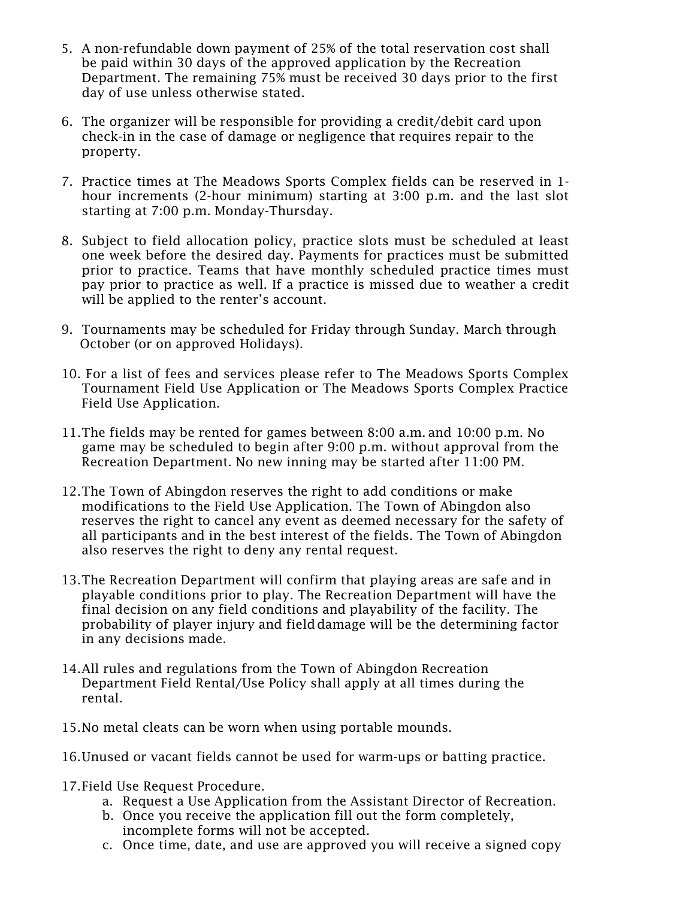- 5. A non-refundable down payment of 25% of the total reservation cost shall be paid within 30 days of the approved application by the Recreation Department. The remaining 75% must be received 30 days prior to the first day of use unless otherwise stated.
- 6. The organizer will be responsible for providing a credit/debit card upon check-in in the case of damage or negligence that requires repair to the property.
- 7. Practice times at The Meadows Sports Complex fields can be reserved in 1 hour increments (2-hour minimum) starting at 3:00 p.m. and the last slot starting at 7:00 p.m. Monday-Thursday.
- 8. Subject to field allocation policy, practice slots must be scheduled at least one week before the desired day. Payments for practices must be submitted prior to practice. Teams that have monthly scheduled practice times must pay prior to practice as well. If a practice is missed due to weather a credit will be applied to the renter's account.
- 9. Tournaments may be scheduled for Friday through Sunday. March through October (or on approved Holidays).
- 10. For a list of fees and services please refer to The Meadows Sports Complex Tournament Field Use Application or The Meadows Sports Complex Practice Field Use Application.
- 11.The fields may be rented for games between 8:00 a.m. and 10:00 p.m. No game may be scheduled to begin after 9:00 p.m. without approval from the Recreation Department. No new inning may be started after 11:00 PM.
- 12.The Town of Abingdon reserves the right to add conditions or make modifications to the Field Use Application. The Town of Abingdon also reserves the right to cancel any event as deemed necessary for the safety of all participants and in the best interest of the fields. The Town of Abingdon also reserves the right to deny any rental request.
- 13.The Recreation Department will confirm that playing areas are safe and in playable conditions prior to play. The Recreation Department will have the final decision on any field conditions and playability of the facility. The probability of player injury and fielddamage will be the determining factor in any decisions made.
- 14.All rules and regulations from the Town of Abingdon Recreation Department Field Rental/Use Policy shall apply at all times during the rental.
- 15.No metal cleats can be worn when using portable mounds.
- 16.Unused or vacant fields cannot be used for warm-ups or batting practice.
- 17.Field Use Request Procedure.
	- a. Request a Use Application from the Assistant Director of Recreation.
	- b. Once you receive the application fill out the form completely, incomplete forms will not be accepted.
	- c. Once time, date, and use are approved you will receive a signed copy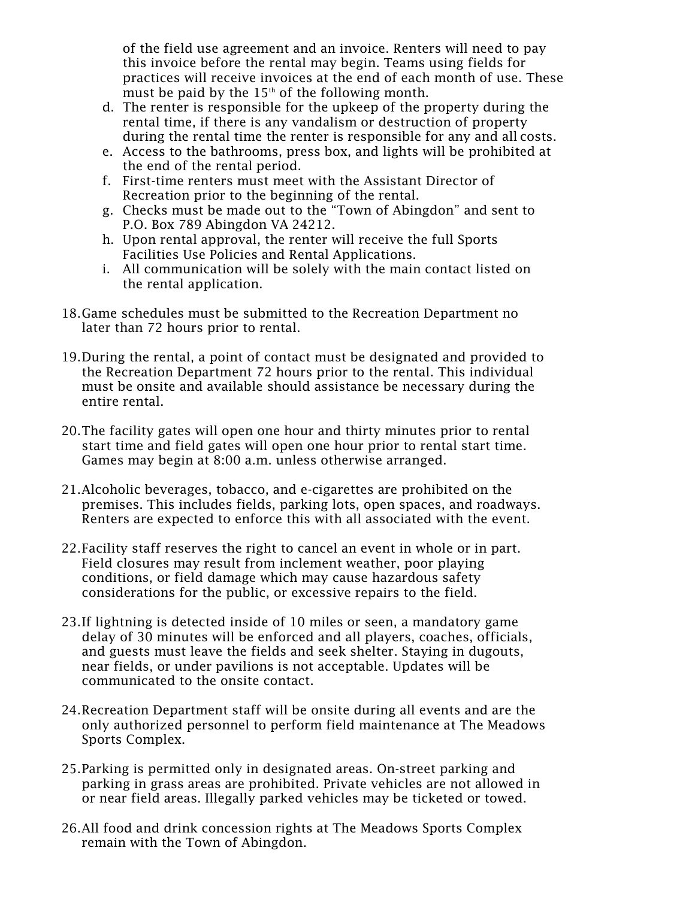of the field use agreement and an invoice. Renters will need to pay this invoice before the rental may begin. Teams using fields for practices will receive invoices at the end of each month of use. These must be paid by the  $15<sup>th</sup>$  of the following month.

- d. The renter is responsible for the upkeep of the property during the rental time, if there is any vandalism or destruction of property during the rental time the renter is responsible for any and all costs.
- e. Access to the bathrooms, press box, and lights will be prohibited at the end of the rental period.
- f. First-time renters must meet with the Assistant Director of Recreation prior to the beginning of the rental.
- g. Checks must be made out to the "Town of Abingdon" and sent to P.O. Box 789 Abingdon VA 24212.
- h. Upon rental approval, the renter will receive the full Sports Facilities Use Policies and Rental Applications.
- i. All communication will be solely with the main contact listed on the rental application.
- 18.Game schedules must be submitted to the Recreation Department no later than 72 hours prior to rental.
- 19.During the rental, a point of contact must be designated and provided to the Recreation Department 72 hours prior to the rental. This individual must be onsite and available should assistance be necessary during the entire rental.
- 20.The facility gates will open one hour and thirty minutes prior to rental start time and field gates will open one hour prior to rental start time. Games may begin at 8:00 a.m. unless otherwise arranged.
- 21.Alcoholic beverages, tobacco, and e-cigarettes are prohibited on the premises. This includes fields, parking lots, open spaces, and roadways. Renters are expected to enforce this with all associated with the event.
- 22.Facility staff reserves the right to cancel an event in whole or in part. Field closures may result from inclement weather, poor playing conditions, or field damage which may cause hazardous safety considerations for the public, or excessive repairs to the field.
- 23.If lightning is detected inside of 10 miles or seen, a mandatory game delay of 30 minutes will be enforced and all players, coaches, officials, and guests must leave the fields and seek shelter. Staying in dugouts, near fields, or under pavilions is not acceptable. Updates will be communicated to the onsite contact.
- 24.Recreation Department staff will be onsite during all events and are the only authorized personnel to perform field maintenance at The Meadows Sports Complex.
- 25.Parking is permitted only in designated areas. On-street parking and parking in grass areas are prohibited. Private vehicles are not allowed in or near field areas. Illegally parked vehicles may be ticketed or towed.
- 26.All food and drink concession rights at The Meadows Sports Complex remain with the Town of Abingdon.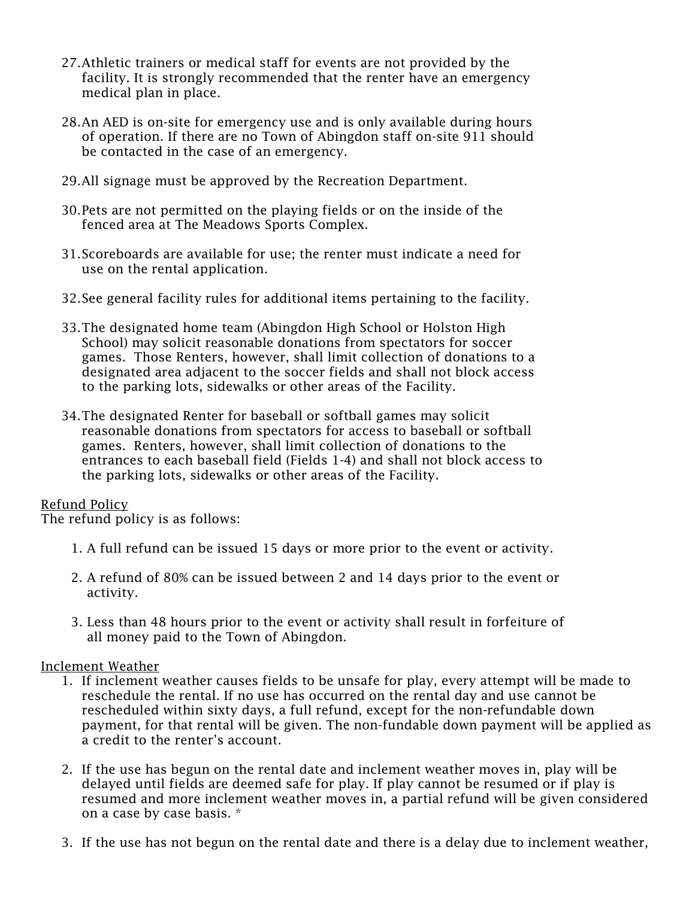- 27.Athletic trainers or medical staff for events are not provided by the facility. It is strongly recommended that the renter have an emergency medical plan in place.
- 28.An AED is on-site for emergency use and is only available during hours of operation. If there are no Town of Abingdon staff on-site 911 should be contacted in the case of an emergency.
- 29.All signage must be approved by the Recreation Department.
- 30.Pets are not permitted on the playing fields or on the inside of the fenced area at The Meadows Sports Complex.
- 31.Scoreboards are available for use; the renter must indicate a need for use on the rental application.
- 32.See general facility rules for additional items pertaining to the facility.
- 33.The designated home team (Abingdon High School or Holston High School) may solicit reasonable donations from spectators for soccer games. Those Renters, however, shall limit collection of donations to a designated area adjacent to the soccer fields and shall not block access to the parking lots, sidewalks or other areas of the Facility.
- 34.The designated Renter for baseball or softball games may solicit reasonable donations from spectators for access to baseball or softball games. Renters, however, shall limit collection of donations to the entrances to each baseball field (Fields 1-4) and shall not block access to the parking lots, sidewalks or other areas of the Facility.

### Refund Policy

The refund policy is as follows:

- 1. A full refund can be issued 15 days or more prior to the event or activity.
- 2. A refund of 80% can be issued between 2 and 14 days prior to the event or activity.
- 3. Less than 48 hours prior to the event or activity shall result in forfeiture of all money paid to the Town of Abingdon.

#### Inclement Weather

- 1. If inclement weather causes fields to be unsafe for play, every attempt will be made to reschedule the rental. If no use has occurred on the rental day and use cannot be rescheduled within sixty days, a full refund, except for the non-refundable down payment, for that rental will be given. The non-fundable down payment will be applied as a credit to the renter's account.
- 2. If the use has begun on the rental date and inclement weather moves in, play will be delayed until fields are deemed safe for play. If play cannot be resumed or if play is resumed and more inclement weather moves in, a partial refund will be given considered on a case by case basis. \*
- 3. If the use has not begun on the rental date and there is a delay due to inclement weather,